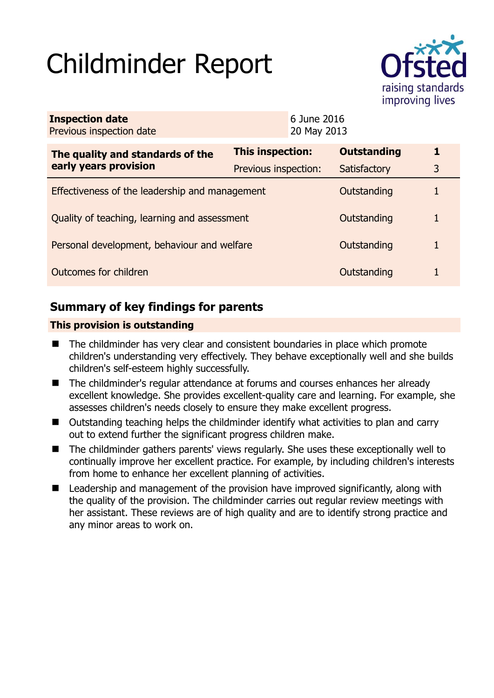# Childminder Report



| <b>Inspection date</b><br>Previous inspection date        |                         | 6 June 2016<br>20 May 2013 |                    |   |
|-----------------------------------------------------------|-------------------------|----------------------------|--------------------|---|
| The quality and standards of the<br>early years provision | <b>This inspection:</b> |                            | <b>Outstanding</b> | 1 |
|                                                           | Previous inspection:    |                            | Satisfactory       | 3 |
| Effectiveness of the leadership and management            |                         |                            | Outstanding        |   |
| Quality of teaching, learning and assessment              |                         |                            | Outstanding        | 1 |
| Personal development, behaviour and welfare               |                         |                            | Outstanding        |   |
| Outcomes for children                                     |                         |                            | Outstanding        |   |

## **Summary of key findings for parents**

## **This provision is outstanding**

- The childminder has very clear and consistent boundaries in place which promote children's understanding very effectively. They behave exceptionally well and she builds children's self-esteem highly successfully.
- The childminder's regular attendance at forums and courses enhances her already excellent knowledge. She provides excellent-quality care and learning. For example, she assesses children's needs closely to ensure they make excellent progress.
- Outstanding teaching helps the childminder identify what activities to plan and carry out to extend further the significant progress children make.
- The childminder gathers parents' views regularly. She uses these exceptionally well to continually improve her excellent practice. For example, by including children's interests from home to enhance her excellent planning of activities.
- Leadership and management of the provision have improved significantly, along with the quality of the provision. The childminder carries out regular review meetings with her assistant. These reviews are of high quality and are to identify strong practice and any minor areas to work on.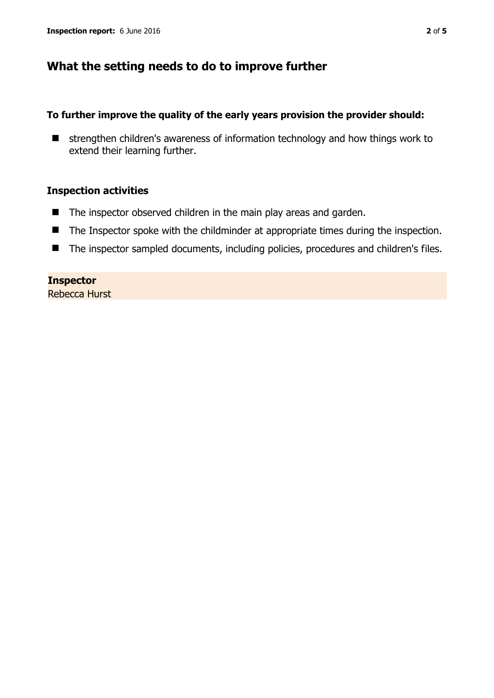## **What the setting needs to do to improve further**

## **To further improve the quality of the early years provision the provider should:**

 $\blacksquare$  strengthen children's awareness of information technology and how things work to extend their learning further.

## **Inspection activities**

- The inspector observed children in the main play areas and garden.
- The Inspector spoke with the childminder at appropriate times during the inspection.
- The inspector sampled documents, including policies, procedures and children's files.

#### **Inspector**

Rebecca Hurst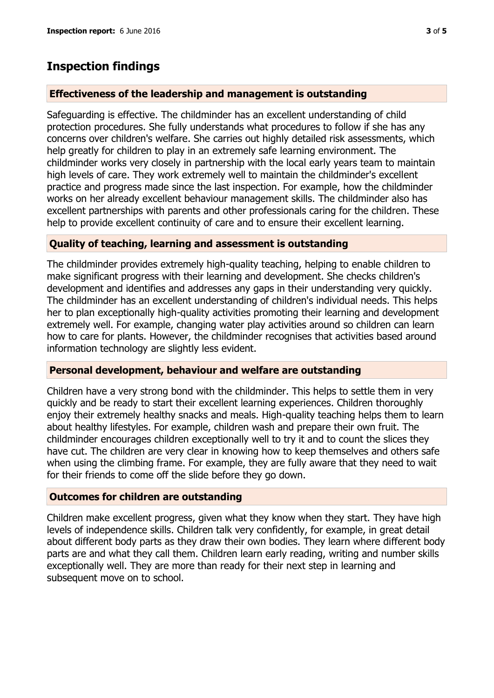## **Inspection findings**

## **Effectiveness of the leadership and management is outstanding**

Safeguarding is effective. The childminder has an excellent understanding of child protection procedures. She fully understands what procedures to follow if she has any concerns over children's welfare. She carries out highly detailed risk assessments, which help greatly for children to play in an extremely safe learning environment. The childminder works very closely in partnership with the local early years team to maintain high levels of care. They work extremely well to maintain the childminder's excellent practice and progress made since the last inspection. For example, how the childminder works on her already excellent behaviour management skills. The childminder also has excellent partnerships with parents and other professionals caring for the children. These help to provide excellent continuity of care and to ensure their excellent learning.

## **Quality of teaching, learning and assessment is outstanding**

The childminder provides extremely high-quality teaching, helping to enable children to make significant progress with their learning and development. She checks children's development and identifies and addresses any gaps in their understanding very quickly. The childminder has an excellent understanding of children's individual needs. This helps her to plan exceptionally high-quality activities promoting their learning and development extremely well. For example, changing water play activities around so children can learn how to care for plants. However, the childminder recognises that activities based around information technology are slightly less evident.

#### **Personal development, behaviour and welfare are outstanding**

Children have a very strong bond with the childminder. This helps to settle them in very quickly and be ready to start their excellent learning experiences. Children thoroughly enjoy their extremely healthy snacks and meals. High-quality teaching helps them to learn about healthy lifestyles. For example, children wash and prepare their own fruit. The childminder encourages children exceptionally well to try it and to count the slices they have cut. The children are very clear in knowing how to keep themselves and others safe when using the climbing frame. For example, they are fully aware that they need to wait for their friends to come off the slide before they go down.

#### **Outcomes for children are outstanding**

Children make excellent progress, given what they know when they start. They have high levels of independence skills. Children talk very confidently, for example, in great detail about different body parts as they draw their own bodies. They learn where different body parts are and what they call them. Children learn early reading, writing and number skills exceptionally well. They are more than ready for their next step in learning and subsequent move on to school.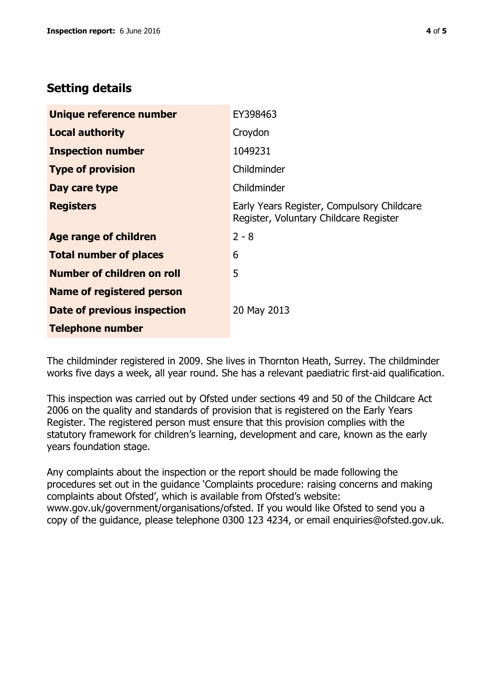## **Setting details**

| Unique reference number          | EY398463                                                                             |  |
|----------------------------------|--------------------------------------------------------------------------------------|--|
| <b>Local authority</b>           | Croydon                                                                              |  |
| <b>Inspection number</b>         | 1049231                                                                              |  |
| <b>Type of provision</b>         | Childminder                                                                          |  |
| Day care type                    | Childminder                                                                          |  |
| <b>Registers</b>                 | Early Years Register, Compulsory Childcare<br>Register, Voluntary Childcare Register |  |
| Age range of children            | $2 - 8$                                                                              |  |
| <b>Total number of places</b>    | 6                                                                                    |  |
| Number of children on roll       | 5                                                                                    |  |
| <b>Name of registered person</b> |                                                                                      |  |
| Date of previous inspection      | 20 May 2013                                                                          |  |
| <b>Telephone number</b>          |                                                                                      |  |

The childminder registered in 2009. She lives in Thornton Heath, Surrey. The childminder works five days a week, all year round. She has a relevant paediatric first-aid qualification.

This inspection was carried out by Ofsted under sections 49 and 50 of the Childcare Act 2006 on the quality and standards of provision that is registered on the Early Years Register. The registered person must ensure that this provision complies with the statutory framework for children's learning, development and care, known as the early years foundation stage.

Any complaints about the inspection or the report should be made following the procedures set out in the guidance 'Complaints procedure: raising concerns and making complaints about Ofsted', which is available from Ofsted's website: www.gov.uk/government/organisations/ofsted. If you would like Ofsted to send you a copy of the guidance, please telephone 0300 123 4234, or email enquiries@ofsted.gov.uk.